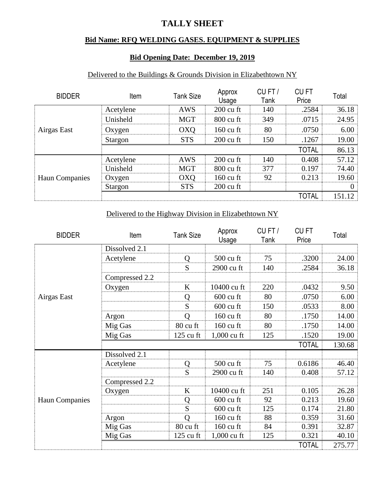# **TALLY SHEET**

## **Bid Name: RFQ WELDING GASES. EQUIPMENT & SUPPLIES**

### **Bid Opening Date: December 19, 2019**

#### Delivered to the Buildings & Grounds Division in Elizabethtown NY

| <b>BIDDER</b>         | Item      | <b>Tank Size</b> | Approx<br>Usage     | CUFT/<br>Tank | <b>CUFT</b><br>Price | Total           |
|-----------------------|-----------|------------------|---------------------|---------------|----------------------|-----------------|
|                       | Acetylene | <b>AWS</b>       | $200 \text{ cu ft}$ | 140           | .2584                | 36.18           |
|                       | Unisheld  | <b>MGT</b>       | 800 cu ft           | 349           | .0715                | 24.95           |
| Airgas East           | Oxygen    | <b>OXQ</b>       | $160 \text{ cu ft}$ | 80            | .0750                | 6.00            |
|                       | Stargon   | <b>STS</b>       | $200 \text{ cu ft}$ | 150           | .1267                | 19.00           |
|                       |           |                  |                     |               | <b>TOTAL</b>         | 86.13           |
| <b>Haun Companies</b> | Acetylene | <b>AWS</b>       | $200 \text{ cu ft}$ | 140           | 0.408                | 57.12           |
|                       | Unisheld  | <b>MGT</b>       | 800 cu ft           | 377           | 0.197                | 74.40           |
|                       | Oxygen    | <b>OXQ</b>       | $160 \text{ cu ft}$ | 92            | 0.213                | 19.60           |
|                       | Stargon   | <b>STS</b>       | $200 \text{ cu ft}$ |               |                      | $\vert 0 \vert$ |
|                       |           |                  |                     |               | <b>TOTAL</b>         | 151.12          |

### Delivered to the Highway Division in Elizabethtown NY

| <b>BIDDER</b>         | Item           | <b>Tank Size</b>    | Approx<br>Usage     | CUFT/<br>Tank | CU <sub>FT</sub><br>Price | Total  |
|-----------------------|----------------|---------------------|---------------------|---------------|---------------------------|--------|
|                       | Dissolved 2.1  |                     |                     |               |                           |        |
|                       | Acetylene      | Q                   | 500 cu ft           | 75            | .3200                     | 24.00  |
|                       |                | S                   | 2900 cu ft          | 140           | .2584                     | 36.18  |
|                       | Compressed 2.2 |                     |                     |               |                           |        |
|                       | Oxygen         | K                   | 10400 cu ft         | 220           | .0432                     | 9.50   |
| Airgas East           |                | Q                   | $600 \text{ cu ft}$ | 80            | .0750                     | 6.00   |
|                       |                | S                   | $600 \text{ cu ft}$ | 150           | .0533                     | 8.00   |
|                       | Argon          | $\overline{O}$      | 160 cu ft           | 80            | .1750                     | 14.00  |
|                       | Mig Gas        | 80 cu ft            | $160 \text{ cu ft}$ | 80            | .1750                     | 14.00  |
|                       | Mig Gas        | $125 \text{ cu ft}$ | 1,000 cu ft         | 125           | .1520                     | 19.00  |
|                       |                |                     |                     |               | <b>TOTAL</b>              | 130.68 |
|                       | Dissolved 2.1  |                     |                     |               |                           |        |
|                       | Acetylene      | Q                   | 500 cu ft           | 75            | 0.6186                    | 46.40  |
|                       |                | S                   | 2900 cu ft          | 140           | 0.408                     | 57.12  |
|                       | Compressed 2.2 |                     |                     |               |                           |        |
| <b>Haun Companies</b> | Oxygen         | K                   | 10400 cu ft         | 251           | 0.105                     | 26.28  |
|                       |                | Q                   | $600 \text{ cu ft}$ | 92            | 0.213                     | 19.60  |
|                       |                | S                   | 600 cu ft           | 125           | 0.174                     | 21.80  |
|                       | Argon          | $\overline{O}$      | 160 cu ft           | 88            | 0.359                     | 31.60  |
|                       | Mig Gas        | 80 cu ft            | 160 cu ft           | 84            | 0.391                     | 32.87  |
|                       | Mig Gas        | $125 \text{ cu ft}$ | $1,000$ cu ft       | 125           | 0.321                     | 40.10  |
|                       |                |                     |                     |               | <b>TOTAL</b>              | 275.77 |